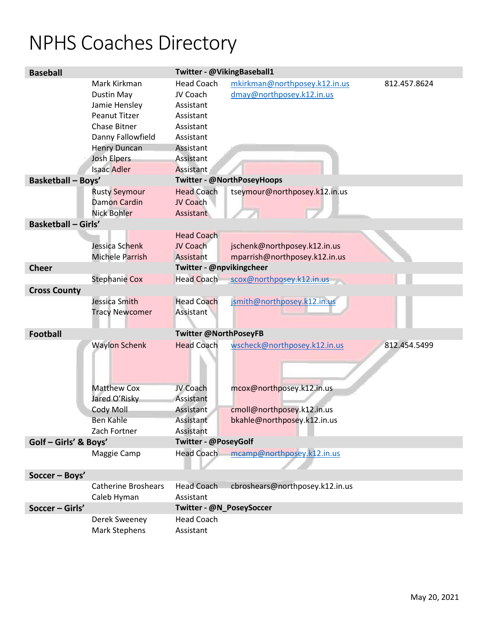## NPHS Coaches Directory

| <b>Baseball</b>            |                                                                                                                                                                                    | Twitter - @VikingBaseball1                                                                                               |                                                               |              |  |
|----------------------------|------------------------------------------------------------------------------------------------------------------------------------------------------------------------------------|--------------------------------------------------------------------------------------------------------------------------|---------------------------------------------------------------|--------------|--|
|                            | Mark Kirkman<br>Dustin May<br>Jamie Hensley<br><b>Peanut Titzer</b><br><b>Chase Bitner</b><br>Danny Fallowfield<br><b>Henry Duncan</b><br><b>Josh Elpers</b><br><b>Isaac Adler</b> | <b>Head Coach</b><br>JV Coach<br>Assistant<br>Assistant<br>Assistant<br>Assistant<br>Assistant<br>Assistant<br>Assistant | mkirkman@northposey.k12.in.us<br>dmay@northposey.k12.in.us    | 812.457.8624 |  |
| <b>Basketball - Boys'</b>  |                                                                                                                                                                                    | Twitter - @NorthPoseyHoops                                                                                               |                                                               |              |  |
|                            | <b>Rusty Seymour</b><br><b>Damon Cardin</b><br><b>Nick Bohler</b>                                                                                                                  | <b>Head Coach</b><br>JV Coach<br>Assistant                                                                               | tseymour@northposey.k12.in.us                                 |              |  |
| <b>Basketball - Girls'</b> |                                                                                                                                                                                    |                                                                                                                          |                                                               |              |  |
|                            | Jessica Schenk<br>Michele Parrish                                                                                                                                                  | <b>Head Coach</b><br>JV Coach<br>Assistant                                                                               | jschenk@northposey.k12.in.us<br>mparrish@northposey.k12.in.us |              |  |
| <b>Cheer</b>               |                                                                                                                                                                                    | Twitter - @npvikingcheer                                                                                                 |                                                               |              |  |
|                            | <b>Stephanie Cox</b>                                                                                                                                                               | <b>Head Coach</b>                                                                                                        | scox@northposey.k12.in.us                                     |              |  |
| <b>Cross County</b>        |                                                                                                                                                                                    |                                                                                                                          |                                                               |              |  |
|                            | Jessica Smith<br><b>Tracy Newcomer</b>                                                                                                                                             | <b>Head Coach</b><br>Assistant                                                                                           | jsmith@northposey.k12.in.us                                   |              |  |
| <b>Football</b>            |                                                                                                                                                                                    | <b>Twitter @NorthPoseyFB</b>                                                                                             |                                                               |              |  |
|                            | <b>Waylon Schenk</b>                                                                                                                                                               | <b>Head Coach</b>                                                                                                        | wscheck@northposey.k12.in.us                                  | 812.454.5499 |  |
|                            | <b>Matthew Cox</b><br>Jared O'Risky                                                                                                                                                | JV Coach<br>Assistant                                                                                                    | mcox@northposey.k12.in.us                                     |              |  |
|                            | Cody Moll                                                                                                                                                                          | <b>Assistant</b>                                                                                                         | cmoll@northposey.k12.in.us                                    |              |  |
|                            | Ben Kahle<br>Zach Fortner                                                                                                                                                          | <b>Assistant</b><br>Assistant                                                                                            | bkahle@northposey.k12.in.us                                   |              |  |
| Golf - Girls' & Boys'      |                                                                                                                                                                                    | Twitter - @PoseyGolf                                                                                                     |                                                               |              |  |
|                            | Maggie Camp                                                                                                                                                                        | <b>Head Coach</b>                                                                                                        | mcamp@northposey.k12.in.us                                    |              |  |
|                            |                                                                                                                                                                                    |                                                                                                                          |                                                               |              |  |
| Soccer - Boys'             |                                                                                                                                                                                    |                                                                                                                          |                                                               |              |  |
|                            | <b>Catherine Broshears</b><br>Caleb Hyman                                                                                                                                          | <b>Head Coach</b><br>Assistant                                                                                           | cbroshears@northposey.k12.in.us                               |              |  |
| Soccer - Girls'            |                                                                                                                                                                                    | Twitter - @N_PoseySoccer                                                                                                 |                                                               |              |  |
|                            | Derek Sweeney<br><b>Mark Stephens</b>                                                                                                                                              | <b>Head Coach</b><br>Assistant                                                                                           |                                                               |              |  |